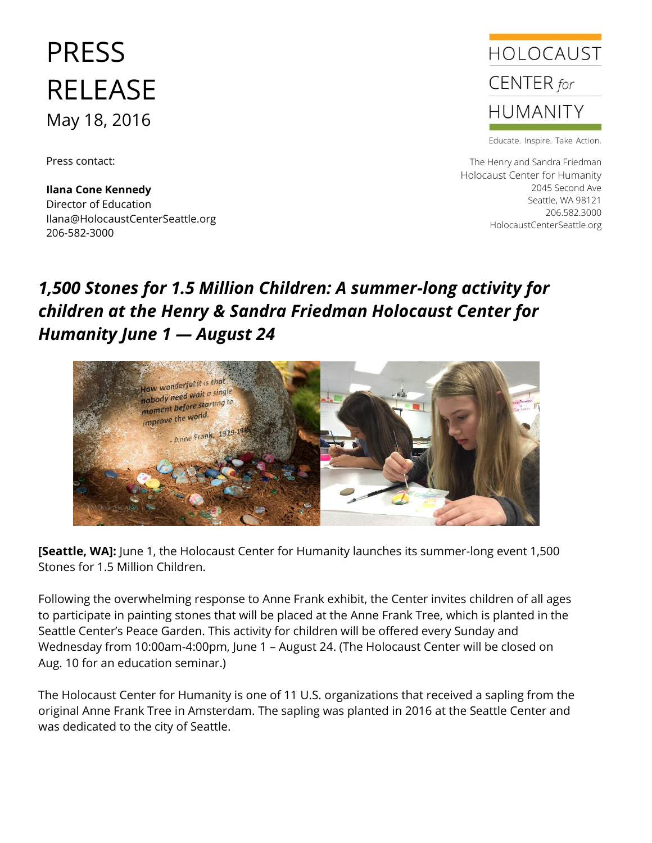## PRESS RELEASE May 18, 2016

Press contact:

**Ilana Cone Kennedy** Director of Education Ilana@HolocaustCenterSeattle.org 206-582-3000



Educate. Inspire. Take Action.

The Henry and Sandra Friedman Holocaust Center for Humanity 2045 Second Ave Seattle, WA 98121 206.582.3000 HolocaustCenterSeattle.org

## *1,500 Stones for 1.5 Million Children: A summer-long activity for children at the Henry & Sandra Friedman Holocaust Center for Humanity June 1 — August 24*



**[Seattle, WA]:** June 1, the Holocaust Center for Humanity launches its summer-long event 1,500 Stones for 1.5 Million Children.

Following the overwhelming response to Anne Frank exhibit, the Center invites children of all ages to participate in painting stones that will be placed at the Anne Frank Tree, which is planted in the Seattle Center's Peace Garden. This activity for children will be offered every Sunday and Wednesday from 10:00am-4:00pm, June 1 – August 24. (The Holocaust Center will be closed on Aug. 10 for an education seminar.)

The Holocaust Center for Humanity is one of 11 U.S. organizations that received a sapling from the original Anne Frank Tree in Amsterdam. The sapling was planted in 2016 at the Seattle Center and was dedicated to the city of Seattle.